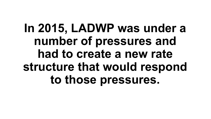# **In 2015, LADWP was under a number of pressures and had to create a new rate structure that would respond to those pressures.**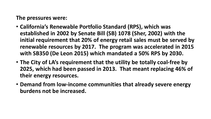#### **The pressures were:**

- **California's Renewable Portfolio Standard (RPS), which was established in 2002 by Senate Bill (SB) 1078 (Sher, 2002) with the initial requirement that 20% of energy retail sales must be served by renewable resources by 2017. The program was accelerated in 2015 with SB350 (De Leon 2015) which mandated a 50% RPS by 2030.**
- **The City of LA's requirement that the utility be totally coal-free by 2025, which had been passed in 2013. That meant replacing 46% of their energy resources.**
- **Demand from low-income communities that already severe energy burdens not be increased.**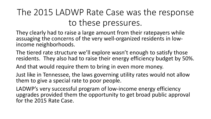### The 2015 LADWP Rate Case was the response to these pressures.

They clearly had to raise a large amount from their ratepayers while assuaging the concerns of the very well-organized residents in low- income neighborhoods.

The tiered rate structure we'll explore wasn't enough to satisfy those residents. They also had to raise their energy efficiency budget by 50%.

And that would require them to bring in even more money.

Just like in Tennessee, the laws governing utility rates would not allow them to give a special rate to poor people.

LADWP's very successful program of low-income energy efficiency upgrades provided them the opportunity to get broad public approval for the 2015 Rate Case.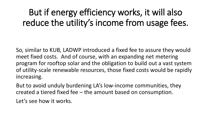## But if energy efficiency works, it will also reduce the utility's income from usage fees.

So, similar to KUB, LADWP introduced a fixed fee to assure they would meet fixed costs. And of course, with an expanding net metering program for rooftop solar and the obligation to build out a vast system of utility-scale renewable resources, those fixed costs would be rapidly increasing.

But to avoid unduly burdening LA's low-income communities, they created a tiered fixed fee – the amount based on consumption.

Let's see how it works.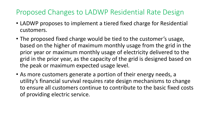#### Proposed Changes to LADWP Residential Rate Design

- LADWP proposes to implement a tiered fixed charge for Residential customers.
- The proposed fixed charge would be tied to the customer's usage, based on the higher of maximum monthly usage from the grid in the prior year or maximum monthly usage of electricity delivered to the grid in the prior year, as the capacity of the grid is designed based on the peak or maximum expected usage level.
- As more customers generate a portion of their energy needs, a utility's financial survival requires rate design mechanisms to change to ensure all customers continue to contribute to the basic fixed costs of providing electric service.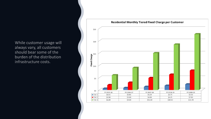While customer usage will always vary, all customers should bear some of the burden of the distribution infrastructure costs.

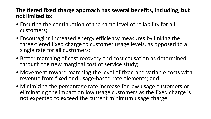#### **The tiered fixed charge approach has several benefits, including, but not limited to:**

- Ensuring the continuation of the same level of reliability for all customers;
- Encouraging increased energy efficiency measures by linking the three-tiered fixed charge to customer usage levels, as opposed to a single rate for all customers;
- Better matching of cost recovery and cost causation as determined through the new marginal cost of service study;
- Movement toward matching the level of fixed and variable costs with revenue from fixed and usage-based rate elements; and
- Minimizing the percentage rate increase for low usage customers or eliminating the impact on low usage customers as the fixed charge is not expected to exceed the current minimum usage charge.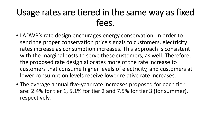### Usage rates are tiered in the same way as fixed fees.

- LADWP's rate design encourages energy conservation. In order to send the proper conservation price signals to customers, electricity rates increase as consumption increases. This approach is consistent with the marginal costs to serve these customers, as well. Therefore, the proposed rate design allocates more of the rate increase to customers that consume higher levels of electricity, and customers at lower consumption levels receive lower relative rate increases.
- The average annual five-year rate increases proposed for each tier are: 2.4% for tier 1, 5.1% for tier 2 and 7.5% for tier 3 (for summer), respectively.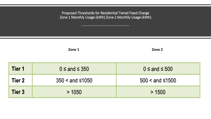Proposed Thresholds for Residential Tiered Fixed Charge Zone 1 Monthly Usage (kWh) Zone 2 Monthly Usage (kWh)

**Zone 1 Zone 2** 

| Tier 1 | $0 \leq$ and $\leq$ 350 | $0 \leq$ and $\leq 500$       |  |  |
|--------|-------------------------|-------------------------------|--|--|
| Tier 2 | $350 <$ and $\leq 1050$ | $500 < \text{and } \leq 1500$ |  |  |
| Tier 3 | >1050                   | > 1500                        |  |  |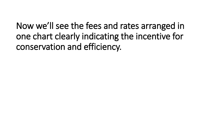Now we'll see the fees and rates arranged in one chart clearly indicating the incentive for conservation and efficiency.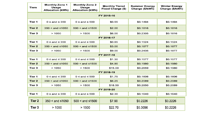| <b>Tiers</b>  | <b>Monthly Zone 1</b><br><b>Usage</b><br><b>Allocation (kWh)</b> | <b>Monthly Zone 2</b><br><b>Usage</b><br><b>Allocation (kWh)</b> | <b>Monthly Tiered</b><br><b>Fixed Charge (\$)</b> | <b>Summer Energy</b><br>Charge (\$/kWh) | <b>Winter Energy</b><br>Charge (\$/kWh) |  |
|---------------|------------------------------------------------------------------|------------------------------------------------------------------|---------------------------------------------------|-----------------------------------------|-----------------------------------------|--|
| FY 2015-16    |                                                                  |                                                                  |                                                   |                                         |                                         |  |
| Tier 1        | $0 \leq$ and $\leq$ 350                                          | $0 \leq$ and $\leq$ 500                                          | \$0.55                                            | \$0.1494                                | \$0.1494                                |  |
| <b>Tier 2</b> | $350 <$ and $\leq 1050$                                          | $500 <$ and $\leq 1500$                                          | \$2.00                                            | \$0.1816                                | \$0.1816                                |  |
| Tier 3        | >1050                                                            | >1500                                                            | \$6.00                                            | \$0.2305                                | \$0.1816                                |  |
| FY 2016-17    |                                                                  |                                                                  |                                                   |                                         |                                         |  |
| Tier 1        | $0 \leq$ and $\leq$ 350                                          | $0 \leq$ and $\leq$ 500                                          | \$0.85                                            | \$0.1524                                | \$0.1524                                |  |
| <b>Tier 2</b> | $350 < and \leq 1050$                                            | $500 <$ and $\leq 1500$                                          | \$3.00                                            | \$0.1877                                | \$0.1877                                |  |
| Tier 3        | >1050                                                            | > 1500                                                           | \$9.00                                            | \$0.2435                                | \$0.1877                                |  |
| FY 2017-18    |                                                                  |                                                                  |                                                   |                                         |                                         |  |
| Tier 1        | $0 \leq$ and $\leq$ 350                                          | $0 \leq$ and $\leq$ 500                                          | \$1.30                                            | \$0.1577                                | \$0.1577                                |  |
| Tier 2        | $350 <$ and $\leq 1050$                                          | $500 <$ and $\leq 1500$                                          | \$4.90                                            | \$0.1980                                | \$0.1980                                |  |
| Tier 3        | >1050                                                            | >1500                                                            | \$15.00                                           | \$0.2659                                | \$0.1980                                |  |
| FY 2018-19    |                                                                  |                                                                  |                                                   |                                         |                                         |  |
| Tier 1        | $0 \leq$ and $\leq$ 350                                          | $0 \leq$ and $\leq$ 500                                          | \$1.75                                            | \$0.1606                                | \$0.1606                                |  |
| <b>Tier 2</b> | $350 <$ and $\leq 1050$                                          | $500 <$ and $\leq 1500$                                          | \$6.25                                            | \$0.2089                                | \$0.2089                                |  |
| Tier 3        | >1050                                                            | >1500                                                            | \$18.50                                           | \$0.2850                                | \$0.2089                                |  |
| FY 2019-20    |                                                                  |                                                                  |                                                   |                                         |                                         |  |
| Tier 1        | $0 \leq$ and $\leq$ 350                                          | $0 \leq$ and $\leq$ 500                                          | \$2.30                                            | \$0.1640                                | \$0.1640                                |  |
| Tier 2        | $350 <$ and $\leq 1050$                                          | $500 <$ and $\leq 1500$                                          | \$7.90                                            | \$0.2226                                | \$0.2226                                |  |
| Tier 3        | >1050                                                            | >1500                                                            | \$22.70                                           | \$0.3096                                | \$0.2226                                |  |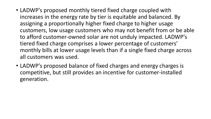- LADWP's proposed monthly tiered fixed charge coupled with increases in the energy rate by tier is equitable and balanced. By assigning a proportionally higher fixed charge to higher usage customers, low usage customers who may not benefit from or be able to afford customer-owned solar are not unduly impacted. LADWP's tiered fixed charge comprises a lower percentage of customers' monthly bills at lower usage levels than if a single fixed charge across all customers was used.
- LADWP's proposed balance of fixed charges and energy charges is competitive, but still provides an incentive for customer-installed generation.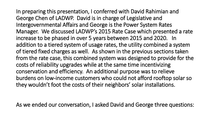In preparing this presentation, I conferred with David Rahimian and George Chen of LADWP. David is in charge of Legislative and Intergovernmental Affairs and George is the Power System Rates Manager. We discussed LADWP's 2015 Rate Case which presented a rate increase to be phased in over 5 years between 2015 and 2020. In addition to a tiered system of usage rates, the utility combined a system of tiered fixed charges as well. As shown in the previous sections taken from the rate case, this combined system was designed to provide for the costs of reliability upgrades while at the same time incentivizing conservation and efficiency. An additional purpose was to relieve burdens on low-income customers who could not afford rooftop solar so they wouldn't foot the costs of their neighbors' solar installations.

As we ended our conversation, I asked David and George three questions: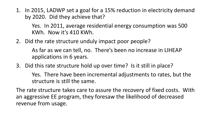1. In 2015, LADWP set a goal for a 15% reduction in electricity demand by 2020. Did they achieve that?

Yes. In 2011, average residential energy consumption was 500 KWh. Now it's 410 KWh.

2. Did the rate structure unduly impact poor people?

As far as we can tell, no. There's been no increase in LIHEAP applications in 6 years.

3. Did this rate structure hold up over time? Is it still in place?

Yes. There have been incremental adjustments to rates, but the structure is still the same.

The rate structure takes care to assure the recovery of fixed costs. With an aggressive EE program, they foresaw the likelihood of decreased revenue from usage.